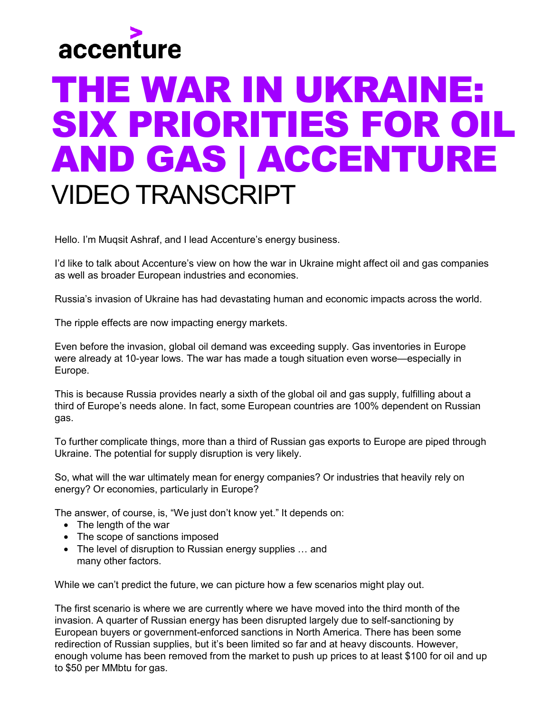

## THE WAR IN UKRAINE: SIX PRIORITIES FOR OIL AND GAS | ACCENTURE VIDEO TRANSCRIPT

Hello. I'm Muqsit Ashraf, and I lead Accenture's energy business.

I'd like to talk about Accenture's view on how the war in Ukraine might affect oil and gas companies as well as broader European industries and economies.

Russia's invasion of Ukraine has had devastating human and economic impacts across the world.

The ripple effects are now impacting energy markets.

Even before the invasion, global oil demand was exceeding supply. Gas inventories in Europe were already at 10-year lows. The war has made a tough situation even worse—especially in Europe.

This is because Russia provides nearly a sixth of the global oil and gas supply, fulfilling about a third of Europe's needs alone. In fact, some European countries are 100% dependent on Russian gas.

To further complicate things, more than a third of Russian gas exports to Europe are piped through Ukraine. The potential for supply disruption is very likely.

So, what will the war ultimately mean for energy companies? Or industries that heavily rely on energy? Or economies, particularly in Europe?

The answer, of course, is, "We just don't know yet." It depends on:

- The length of the war
- The scope of sanctions imposed
- The level of disruption to Russian energy supplies … and many other factors.

While we can't predict the future, we can picture how a few scenarios might play out.

The first scenario is where we are currently where we have moved into the third month of the invasion. A quarter of Russian energy has been disrupted largely due to self-sanctioning by European buyers or government-enforced sanctions in North America. There has been some redirection of Russian supplies, but it's been limited so far and at heavy discounts. However, enough volume has been removed from the market to push up prices to at least \$100 for oil and up to \$50 per MMbtu for gas.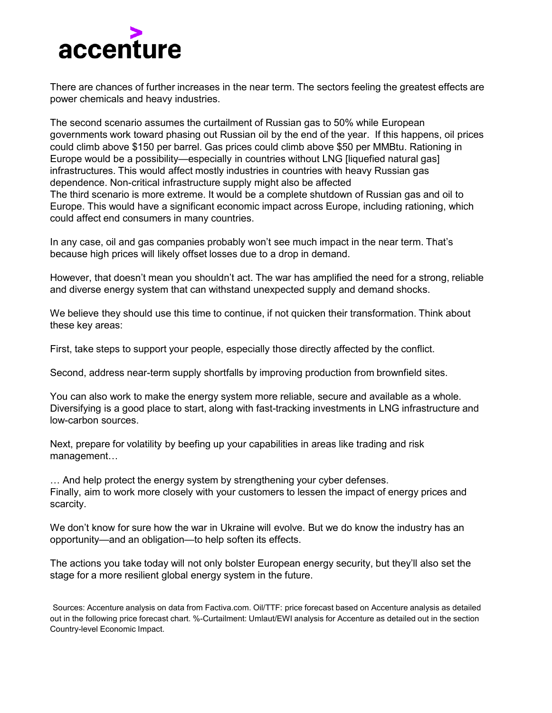

There are chances of further increases in the near term. The sectors feeling the greatest effects are power chemicals and heavy industries.

The second scenario assumes the curtailment of Russian gas to 50% while European governments work toward phasing out Russian oil by the end of the year. If this happens, oil prices could climb above \$150 per barrel. Gas prices could climb above \$50 per MMBtu. Rationing in Europe would be a possibility—especially in countries without LNG [liquefied natural gas] infrastructures. This would affect mostly industries in countries with heavy Russian gas dependence. Non-critical infrastructure supply might also be affected The third scenario is more extreme. It would be a complete shutdown of Russian gas and oil to Europe. This would have a significant economic impact across Europe, including rationing, which could affect end consumers in many countries.

In any case, oil and gas companies probably won't see much impact in the near term. That's because high prices will likely offset losses due to a drop in demand.

However, that doesn't mean you shouldn't act. The war has amplified the need for a strong, reliable and diverse energy system that can withstand unexpected supply and demand shocks.

We believe they should use this time to continue, if not quicken their transformation. Think about these key areas:

First, take steps to support your people, especially those directly affected by the conflict.

Second, address near-term supply shortfalls by improving production from brownfield sites.

You can also work to make the energy system more reliable, secure and available as a whole. Diversifying is a good place to start, along with fast-tracking investments in LNG infrastructure and low-carbon sources.

Next, prepare for volatility by beefing up your capabilities in areas like trading and risk management…

… And help protect the energy system by strengthening your cyber defenses. Finally, aim to work more closely with your customers to lessen the impact of energy prices and scarcity.

We don't know for sure how the war in Ukraine will evolve. But we do know the industry has an opportunity—and an obligation—to help soften its effects.

The actions you take today will not only bolster European energy security, but they'll also set the stage for a more resilient global energy system in the future.

Sources: Accenture analysis on data from Factiva.com. Oil/TTF: price forecast based on Accenture analysis as detailed out in the following price forecast chart. %-Curtailment: Umlaut/EWI analysis for Accenture as detailed out in the section Country-level Economic Impact.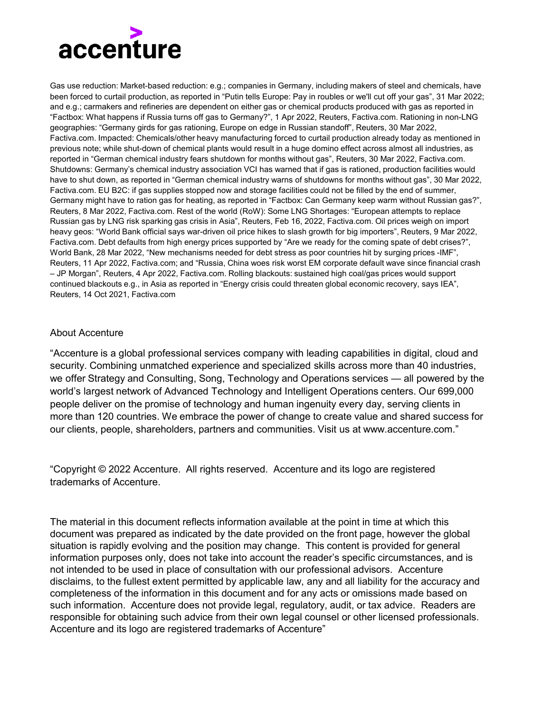

Gas use reduction: Market-based reduction: e.g.; companies in Germany, including makers of steel and chemicals, have been forced to curtail production, as reported in "Putin tells Europe: Pay in roubles or we'll cut off your gas", 31 Mar 2022; and e.g.; carmakers and refineries are dependent on either gas or chemical products produced with gas as reported in "Factbox: What happens if Russia turns off gas to Germany?", 1 Apr 2022, Reuters, Factiva.com. Rationing in non-LNG geographies: "Germany girds for gas rationing, Europe on edge in Russian standoff", Reuters, 30 Mar 2022, Factiva.com. Impacted: Chemicals/other heavy manufacturing forced to curtail production already today as mentioned in previous note; while shut-down of chemical plants would result in a huge domino effect across almost all industries, as reported in "German chemical industry fears shutdown for months without gas", Reuters, 30 Mar 2022, Factiva.com. Shutdowns: Germany's chemical industry association VCI has warned that if gas is rationed, production facilities would have to shut down, as reported in "German chemical industry warns of shutdowns for months without gas", 30 Mar 2022, Factiva.com. EU B2C: if gas supplies stopped now and storage facilities could not be filled by the end of summer, Germany might have to ration gas for heating, as reported in "Factbox: Can Germany keep warm without Russian gas?", Reuters, 8 Mar 2022, Factiva.com. Rest of the world (RoW): Some LNG Shortages: "European attempts to replace Russian gas by LNG risk sparking gas crisis in Asia", Reuters, Feb 16, 2022, Factiva.com. Oil prices weigh on import heavy geos: "World Bank official says war-driven oil price hikes to slash growth for big importers", Reuters, 9 Mar 2022, Factiva.com. Debt defaults from high energy prices supported by "Are we ready for the coming spate of debt crises?", World Bank, 28 Mar 2022, "New mechanisms needed for debt stress as poor countries hit by surging prices -IMF", Reuters, 11 Apr 2022, Factiva.com; and "Russia, China woes risk worst EM corporate default wave since financial crash – JP Morgan", Reuters, 4 Apr 2022, Factiva.com. Rolling blackouts: sustained high coal/gas prices would support continued blackouts e.g., in Asia as reported in "Energy crisis could threaten global economic recovery, says IEA", Reuters, 14 Oct 2021, Factiva.com

## About Accenture

"Accenture is a global professional services company with leading capabilities in digital, cloud and security. Combining unmatched experience and specialized skills across more than 40 industries, we offer Strategy and Consulting, Song, Technology and Operations services — all powered by the world's largest network of Advanced Technology and Intelligent Operations centers. Our 699,000 people deliver on the promise of technology and human ingenuity every day, serving clients in more than 120 countries. We embrace the power of change to create value and shared success for our clients, people, shareholders, partners and communities. Visit us at www.accenture.com."

"Copyright © 2022 Accenture. All rights reserved. Accenture and its logo are registered trademarks of Accenture.

The material in this document reflects information available at the point in time at which this document was prepared as indicated by the date provided on the front page, however the global situation is rapidly evolving and the position may change. This content is provided for general information purposes only, does not take into account the reader's specific circumstances, and is not intended to be used in place of consultation with our professional advisors. Accenture disclaims, to the fullest extent permitted by applicable law, any and all liability for the accuracy and completeness of the information in this document and for any acts or omissions made based on such information. Accenture does not provide legal, regulatory, audit, or tax advice. Readers are responsible for obtaining such advice from their own legal counsel or other licensed professionals. Accenture and its logo are registered trademarks of Accenture"